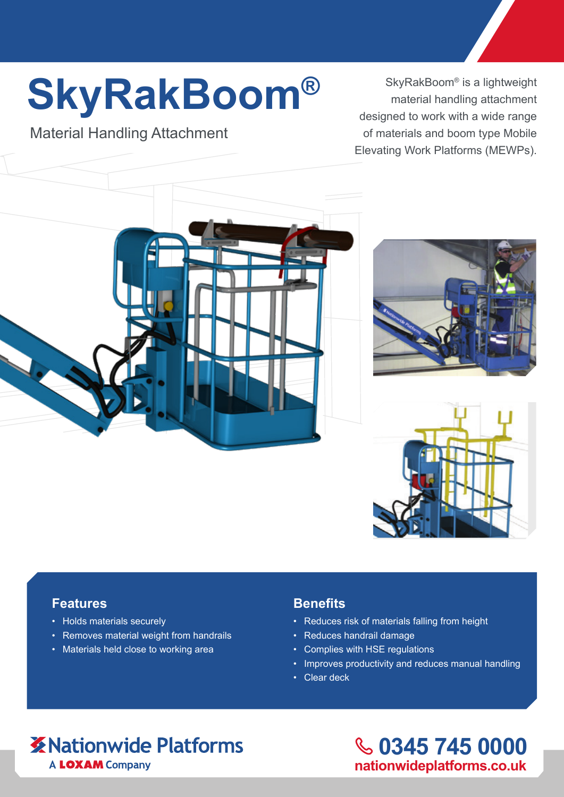# **SkyRakBoom®**

## Material Handling Attachment

SkyRakBoom® is a lightweight material handling attachment designed to work with a wide range of materials and boom type Mobile Elevating Work Platforms (MEWPs).







#### **Features**

- Holds materials securely
- Removes material weight from handrails
- Materials held close to working area

#### **Benefits**

- Reduces risk of materials falling from height
- Reduces handrail damage
- Complies with HSE regulations
- Improves productivity and reduces manual handling
- Clear deck

# **X** Nationwide Platforms A LOXAM Company

**0345 745 0000 nationwideplatforms.co.uk**